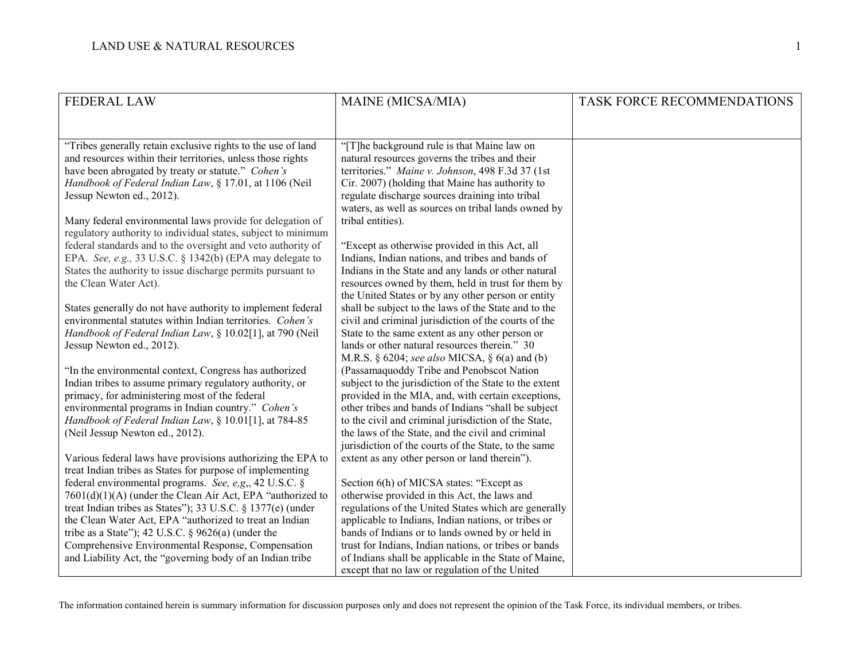| <b>FEDERAL LAW</b>                                                                                                       | MAINE (MICSA/MIA)                                                                                            | TASK FORCE RECOMMENDATIONS |
|--------------------------------------------------------------------------------------------------------------------------|--------------------------------------------------------------------------------------------------------------|----------------------------|
|                                                                                                                          |                                                                                                              |                            |
| "Tribes generally retain exclusive rights to the use of land                                                             | "[T]he background rule is that Maine law on                                                                  |                            |
| and resources within their territories, unless those rights                                                              | natural resources governs the tribes and their                                                               |                            |
| have been abrogated by treaty or statute." Cohen's                                                                       | territories." Maine v. Johnson, 498 F.3d 37 (1st                                                             |                            |
| Handbook of Federal Indian Law, § 17.01, at 1106 (Neil                                                                   | Cir. 2007) (holding that Maine has authority to                                                              |                            |
| Jessup Newton ed., 2012).                                                                                                | regulate discharge sources draining into tribal                                                              |                            |
|                                                                                                                          | waters, as well as sources on tribal lands owned by                                                          |                            |
| Many federal environmental laws provide for delegation of                                                                | tribal entities).                                                                                            |                            |
| regulatory authority to individual states, subject to minimum                                                            |                                                                                                              |                            |
| federal standards and to the oversight and veto authority of                                                             | "Except as otherwise provided in this Act, all                                                               |                            |
| EPA. See, e.g., 33 U.S.C. § 1342(b) (EPA may delegate to                                                                 | Indians, Indian nations, and tribes and bands of                                                             |                            |
| States the authority to issue discharge permits pursuant to                                                              | Indians in the State and any lands or other natural                                                          |                            |
| the Clean Water Act).                                                                                                    | resources owned by them, held in trust for them by                                                           |                            |
|                                                                                                                          | the United States or by any other person or entity                                                           |                            |
| States generally do not have authority to implement federal<br>environmental statutes within Indian territories. Cohen's | shall be subject to the laws of the State and to the<br>civil and criminal jurisdiction of the courts of the |                            |
| Handbook of Federal Indian Law, § 10.02[1], at 790 (Neil                                                                 | State to the same extent as any other person or                                                              |                            |
| Jessup Newton ed., 2012).                                                                                                | lands or other natural resources therein." 30                                                                |                            |
|                                                                                                                          | M.R.S. § 6204; see also MICSA, § 6(a) and (b)                                                                |                            |
| "In the environmental context, Congress has authorized                                                                   | (Passamaquoddy Tribe and Penobscot Nation                                                                    |                            |
| Indian tribes to assume primary regulatory authority, or                                                                 | subject to the jurisdiction of the State to the extent                                                       |                            |
| primacy, for administering most of the federal                                                                           | provided in the MIA, and, with certain exceptions,                                                           |                            |
| environmental programs in Indian country." Cohen's                                                                       | other tribes and bands of Indians "shall be subject                                                          |                            |
| Handbook of Federal Indian Law, § 10.01[1], at 784-85                                                                    | to the civil and criminal jurisdiction of the State,                                                         |                            |
| (Neil Jessup Newton ed., 2012).                                                                                          | the laws of the State, and the civil and criminal                                                            |                            |
|                                                                                                                          | jurisdiction of the courts of the State, to the same                                                         |                            |
| Various federal laws have provisions authorizing the EPA to<br>treat Indian tribes as States for purpose of implementing | extent as any other person or land therein").                                                                |                            |
| federal environmental programs. See, e,g,, 42 U.S.C. §                                                                   | Section 6(h) of MICSA states: "Except as                                                                     |                            |
| $7601(d)(1)(A)$ (under the Clean Air Act, EPA "authorized to                                                             | otherwise provided in this Act, the laws and                                                                 |                            |
| treat Indian tribes as States"); 33 U.S.C. § 1377(e) (under                                                              | regulations of the United States which are generally                                                         |                            |
| the Clean Water Act, EPA "authorized to treat an Indian                                                                  | applicable to Indians, Indian nations, or tribes or                                                          |                            |
| tribe as a State"); 42 U.S.C. $\S$ 9626(a) (under the                                                                    | bands of Indians or to lands owned by or held in                                                             |                            |
| Comprehensive Environmental Response, Compensation                                                                       | trust for Indians, Indian nations, or tribes or bands                                                        |                            |
| and Liability Act, the "governing body of an Indian tribe"                                                               | of Indians shall be applicable in the State of Maine,                                                        |                            |
|                                                                                                                          | except that no law or regulation of the United                                                               |                            |

The information contained herein is summary information for discussion purposes only and does not represent the opinion of the Task Force, its individual members, or tribes.